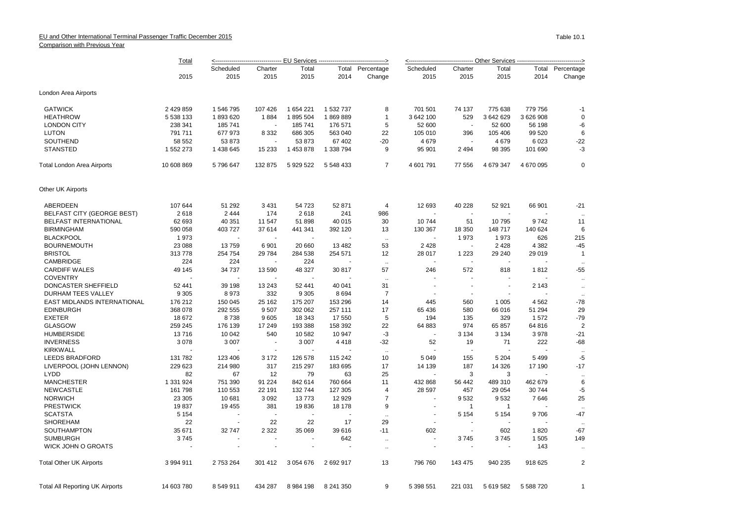## EU and Other International Terminal Passenger Traffic December 2015 Comparison with Previous Year

|                                    | Total      | <--------------------------------- EU Services --------------------------------> |                          |           |           |                         |                       |                          |                          |                |                    |  |
|------------------------------------|------------|----------------------------------------------------------------------------------|--------------------------|-----------|-----------|-------------------------|-----------------------|--------------------------|--------------------------|----------------|--------------------|--|
|                                    |            | Scheduled                                                                        | Charter                  | Total     |           | <b>Total Percentage</b> | Scheduled             | Charter                  | Total                    |                | Total Percentage   |  |
|                                    | 2015       | 2015                                                                             | 2015                     | 2015      | 2014      | Change                  | 2015                  | 2015                     | 2015                     | 2014           | Change             |  |
| London Area Airports               |            |                                                                                  |                          |           |           |                         |                       |                          |                          |                |                    |  |
| <b>GATWICK</b>                     | 2 429 859  | 1 546 795                                                                        | 107 426                  | 1654221   | 1 532 737 | 8                       | 701 501               | 74 137                   | 775 638                  | 779 756        | $-1$               |  |
| <b>HEATHROW</b>                    | 5 538 133  | 1893620                                                                          | 1884                     | 1895 504  | 1869889   | $\mathbf{1}$            | 3 642 100             | 529                      | 3 642 629                | 3 626 908      | $\mathbf 0$        |  |
| <b>LONDON CITY</b>                 | 238 341    | 185 741                                                                          | $\overline{\phantom{a}}$ | 185 741   | 176 571   | 5                       | 52 600                | $\sim$                   | 52 600                   | 56 198         | -6                 |  |
| <b>LUTON</b>                       | 791 711    | 677 973                                                                          | 8 3 3 2                  | 686 305   | 563 040   | 22                      | 105 010               | 396                      | 105 406                  | 99 520         | 6                  |  |
| SOUTHEND                           | 58 552     | 53 873                                                                           |                          | 53 873    | 67 402    | -20                     | 4679                  |                          | 4679                     | 6023           | -22                |  |
| <b>STANSTED</b>                    | 1 552 273  | 1 438 645                                                                        | 15 2 33                  | 1 453 878 | 1 338 794 | 9                       | 95 901                | 2 4 9 4                  | 98 395                   | 101 690        | $-3$               |  |
| <b>Total London Area Airports</b>  | 10 608 869 | 5796647                                                                          | 132 875                  | 5 929 522 | 5 548 433 | $\overline{7}$          | 4 601 791             | 77 556                   | 4 679 347                | 4 670 095      | $\mathbf 0$        |  |
| Other UK Airports                  |            |                                                                                  |                          |           |           |                         |                       |                          |                          |                |                    |  |
| ABERDEEN                           | 107 644    | 51 292                                                                           | 3 4 3 1                  | 54 723    | 52 871    | 4                       | 12 693                | 40 228                   | 52 921                   | 66 901         | $-21$              |  |
| <b>BELFAST CITY (GEORGE BEST)</b>  | 2618       | 2 4 4 4                                                                          | 174                      | 2618      | 241       | 986                     | $\sim$                |                          | $\sim$                   |                | $\ddotsc$          |  |
| <b>BELFAST INTERNATIONAL</b>       | 62 693     | 40 351                                                                           | 11 547                   | 51898     | 40 015    | 30                      | 10744                 | 51                       | 10795                    | 9742           | 11                 |  |
| <b>BIRMINGHAM</b>                  | 590 058    | 403 727                                                                          | 37 614                   | 441 341   | 392 120   | 13                      | 130 367               | 18 350                   | 148 717                  | 140 624        | 6                  |  |
| <b>BLACKPOOL</b>                   | 1973       |                                                                                  | ٠.                       |           |           | $\ddotsc$               | $\tilde{\phantom{a}}$ | 1973                     | 1973                     | 626            | 215                |  |
| <b>BOURNEMOUTH</b>                 | 23 088     | 13759                                                                            | 6901                     | 20 660    | 13 4 82   | 53                      | 2428                  | $\overline{\phantom{a}}$ | 2428                     | 4 3 8 2        | $-45$              |  |
| <b>BRISTOL</b>                     | 313778     | 254 754                                                                          | 29 784                   | 284 538   | 254 571   | 12                      | 28 017                | 1 2 2 3                  | 29 240                   | 29 019         | $\overline{1}$     |  |
| CAMBRIDGE                          | 224        | 224                                                                              |                          | 224       |           | $\sim$                  | $\sim$                | $\sim$                   | ÷.                       |                | $\ddotsc$          |  |
| <b>CARDIFF WALES</b>               | 49 145     | 34 737                                                                           | 13 590                   | 48 327    | 30817     | 57                      | 246                   | 572                      | 818                      | 1812           | -55                |  |
| <b>COVENTRY</b>                    |            |                                                                                  |                          |           |           | $\sim$                  |                       |                          |                          |                | $\sim$             |  |
| DONCASTER SHEFFIELD                | 52 441     | 39 198                                                                           | 13 24 3                  | 52 441    | 40 041    | 31                      |                       | $\overline{\phantom{a}}$ | $\overline{\phantom{a}}$ | 2 1 4 3        | $\sim$             |  |
| DURHAM TEES VALLEY                 | 9 3 0 5    | 8973                                                                             | 332                      | 9 3 0 5   | 8694      | $\overline{7}$          |                       |                          |                          |                | $\sim$             |  |
| <b>EAST MIDLANDS INTERNATIONAL</b> | 176 212    | 150 045                                                                          | 25 162                   | 175 207   | 153 296   | 14                      | 445                   | 560                      | 1 0 0 5                  | 4562           | -78                |  |
| <b>EDINBURGH</b>                   | 368 078    | 292 555                                                                          | 9507                     | 302 062   | 257 111   | 17                      | 65 436                | 580                      | 66 016                   | 51 294         | 29                 |  |
| <b>EXETER</b>                      | 18 672     | 8738                                                                             | 9605                     | 18 343    | 17 550    | 5                       | 194                   | 135                      | 329                      | 1572           | $-79$              |  |
| <b>GLASGOW</b>                     | 259 245    | 176 139                                                                          | 17 249                   | 193 388   | 158 392   | 22                      | 64 883                | 974                      | 65 857                   | 64 816         | $\overline{2}$     |  |
| <b>HUMBERSIDE</b>                  | 13716      | 10 042                                                                           | 540                      | 10 582    | 10 947    | $-3$                    | $\sim$                | 3 1 3 4                  | 3 1 3 4                  | 3978           | $-21$              |  |
| <b>INVERNESS</b>                   | 3078       | 3 0 0 7                                                                          | $\overline{\phantom{a}}$ | 3 0 0 7   | 4418      | $-32$                   | 52                    | 19                       | 71                       | 222            | -68                |  |
| <b>KIRKWALL</b>                    |            |                                                                                  |                          |           |           | $\ddotsc$               | $\blacksquare$        | $\blacksquare$           |                          | $\blacksquare$ | $\ldots$           |  |
| <b>LEEDS BRADFORD</b>              | 131 782    | 123 406                                                                          | 3 1 7 2                  | 126 578   | 115 242   | 10                      | 5 0 4 9               | 155                      | 5 2 0 4                  | 5499           | $-5$               |  |
| LIVERPOOL (JOHN LENNON)            | 229 623    | 214 980                                                                          | 317                      | 215 297   | 183 695   | 17                      | 14 139                | 187                      | 14 3 26                  | 17 190         | $-17$              |  |
| <b>LYDD</b>                        | 82         | 67                                                                               | 12                       | 79        | 63        | 25                      | $\sim$                | 3                        | 3                        | ÷.             | $\ldots$           |  |
| <b>MANCHESTER</b>                  | 1 331 924  | 751 390                                                                          | 91 224                   | 842 614   | 760 664   | 11                      | 432 868               | 56 442                   | 489 310                  | 462 679        | 6                  |  |
| <b>NEWCASTLE</b>                   | 161 798    | 110 553                                                                          | 22 191                   | 132 744   | 127 305   | 4                       | 28 5 97               | 457                      | 29 0 54                  | 30744          | $-5$               |  |
| <b>NORWICH</b>                     | 23 305     | 10 681                                                                           | 3 0 9 2                  | 13773     | 12 9 29   | $\overline{7}$          |                       | 9532                     | 9532                     | 7646           | 25                 |  |
| <b>PRESTWICK</b>                   | 19837      | 19 455                                                                           | 381                      | 19836     | 18 178    | 9                       | $\sim$                | $\mathbf{1}$             | $\mathbf{1}$             | ÷.             |                    |  |
| <b>SCATSTA</b>                     | 5 1 5 4    |                                                                                  |                          |           |           |                         |                       | 5 1 5 4                  | 5 1 5 4                  | 9706           | $\ddotsc$<br>$-47$ |  |
| <b>SHOREHAM</b>                    | 22         |                                                                                  |                          |           | 17        | $\sim$                  | $\sim$                |                          | $\overline{\phantom{a}}$ |                |                    |  |
| SOUTHAMPTON                        |            |                                                                                  | 22                       | 22        |           | 29                      |                       |                          |                          |                | $\sim$<br>$-67$    |  |
|                                    | 35 671     | 32 747                                                                           | 2 3 2 2                  | 35 069    | 39 616    | $-11$                   | 602                   |                          | 602                      | 1820           |                    |  |
| <b>SUMBURGH</b>                    | 3745       |                                                                                  |                          |           | 642       | $\ddotsc$               | $\sim$                | 3745                     | 3745                     | 1 5 0 5        | 149                |  |
| <b>WICK JOHN O GROATS</b>          |            |                                                                                  |                          |           |           |                         |                       |                          |                          | 143            |                    |  |

Total Other UK Airports 3 994 911 2 753 264 301 412 3 054 676 2 692 917 13 796 760 143 475 940 235 918 625 2

Total All Reporting UK Airports 14 603 780 8 549 911 434 287 8 984 198 8 241 350 9 5 398 551 221 031 5 619 582 5 588 720 1